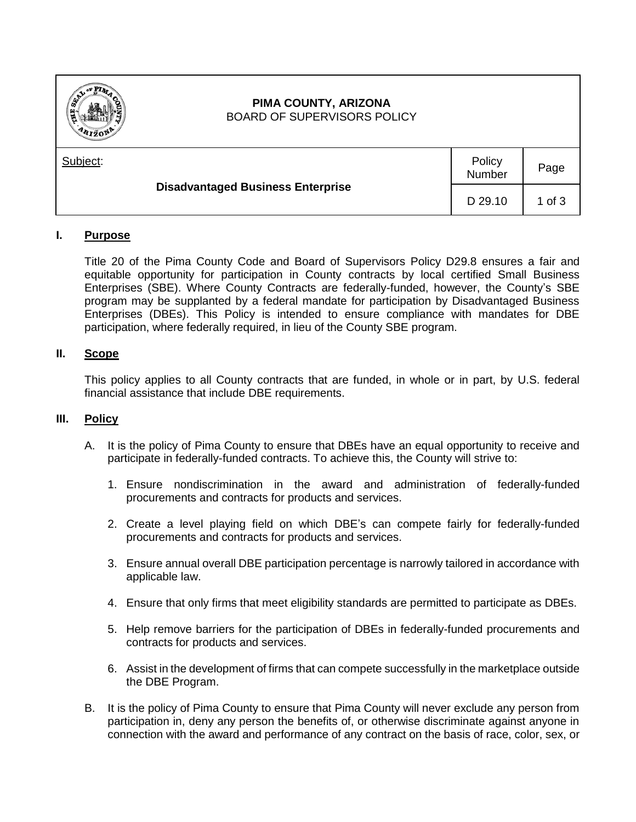

# **PIMA COUNTY, ARIZONA**

BOARD OF SUPERVISORS POLICY

| 4120                                                 |                  |          |
|------------------------------------------------------|------------------|----------|
| Subject:<br><b>Disadvantaged Business Enterprise</b> | Policy<br>Number | Page     |
|                                                      | D 29.10          | 1 of $3$ |

## **I. Purpose**

Title 20 of the Pima County Code and Board of Supervisors Policy D29.8 ensures a fair and equitable opportunity for participation in County contracts by local certified Small Business Enterprises (SBE). Where County Contracts are federally-funded, however, the County's SBE program may be supplanted by a federal mandate for participation by Disadvantaged Business Enterprises (DBEs). This Policy is intended to ensure compliance with mandates for DBE participation, where federally required, in lieu of the County SBE program.

## **II. Scope**

This policy applies to all County contracts that are funded, in whole or in part, by U.S. federal financial assistance that include DBE requirements.

### **III. Policy**

- A. It is the policy of Pima County to ensure that DBEs have an equal opportunity to receive and participate in federally-funded contracts. To achieve this, the County will strive to:
	- 1. Ensure nondiscrimination in the award and administration of federally-funded procurements and contracts for products and services.
	- 2. Create a level playing field on which DBE's can compete fairly for federally-funded procurements and contracts for products and services.
	- 3. Ensure annual overall DBE participation percentage is narrowly tailored in accordance with applicable law.
	- 4. Ensure that only firms that meet eligibility standards are permitted to participate as DBEs.
	- 5. Help remove barriers for the participation of DBEs in federally-funded procurements and contracts for products and services.
	- 6. Assist in the development of firms that can compete successfully in the marketplace outside the DBE Program.
- B. It is the policy of Pima County to ensure that Pima County will never exclude any person from participation in, deny any person the benefits of, or otherwise discriminate against anyone in connection with the award and performance of any contract on the basis of race, color, sex, or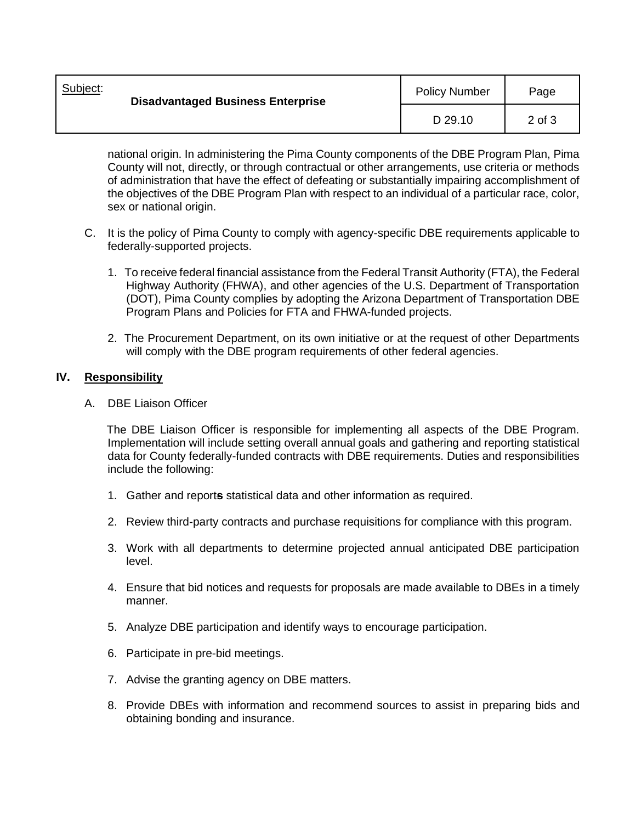| Subject: | <b>Disadvantaged Business Enterprise</b> | <b>Policy Number</b> | Page |
|----------|------------------------------------------|----------------------|------|
|          | D 29.10                                  | 2 of 3               |      |

national origin. In administering the Pima County components of the DBE Program Plan, Pima County will not, directly, or through contractual or other arrangements, use criteria or methods of administration that have the effect of defeating or substantially impairing accomplishment of the objectives of the DBE Program Plan with respect to an individual of a particular race, color, sex or national origin.

- C. It is the policy of Pima County to comply with agency-specific DBE requirements applicable to federally-supported projects.
	- 1. To receive federal financial assistance from the Federal Transit Authority (FTA), the Federal Highway Authority (FHWA), and other agencies of the U.S. Department of Transportation (DOT), Pima County complies by adopting the Arizona Department of Transportation DBE Program Plans and Policies for FTA and FHWA-funded projects.
	- 2. The Procurement Department, on its own initiative or at the request of other Departments will comply with the DBE program requirements of other federal agencies.

### **IV. Responsibility**

A. DBE Liaison Officer

 The DBE Liaison Officer is responsible for implementing all aspects of the DBE Program. Implementation will include setting overall annual goals and gathering and reporting statistical data for County federally-funded contracts with DBE requirements. Duties and responsibilities include the following:

- 1. Gather and report**s** statistical data and other information as required.
- 2. Review third-party contracts and purchase requisitions for compliance with this program.
- 3. Work with all departments to determine projected annual anticipated DBE participation level.
- 4. Ensure that bid notices and requests for proposals are made available to DBEs in a timely manner.
- 5. Analyze DBE participation and identify ways to encourage participation.
- 6. Participate in pre-bid meetings.
- 7. Advise the granting agency on DBE matters.
- 8. Provide DBEs with information and recommend sources to assist in preparing bids and obtaining bonding and insurance.